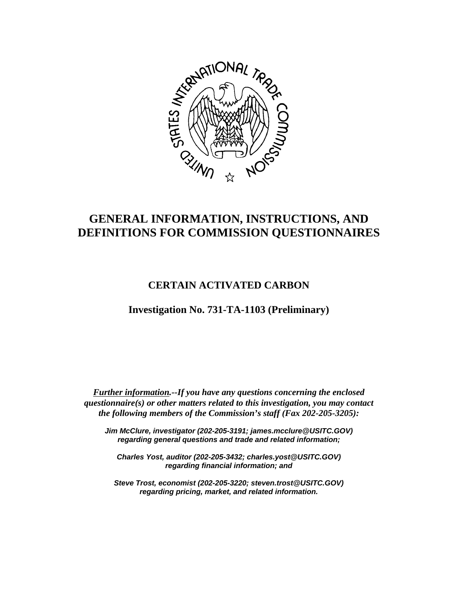

# **GENERAL INFORMATION, INSTRUCTIONS, AND DEFINITIONS FOR COMMISSION QUESTIONNAIRES**

## **CERTAIN ACTIVATED CARBON**

**Investigation No. 731-TA-1103 (Preliminary)**

*Further information.--If you have any questions concerning the enclosed questionnaire(s) or other matters related to this investigation, you may contact the following members of the Commission's staff (Fax 202-205-3205):*

*Jim McClure, investigator (202-205-3191; james.mcclure@USITC.GOV) regarding general questions and trade and related information;*

*Charles Yost, auditor (202-205-3432; charles.yost@USITC.GOV) regarding financial information; and*

*Steve Trost, economist (202-205-3220; steven.trost@USITC.GOV) regarding pricing, market, and related information.*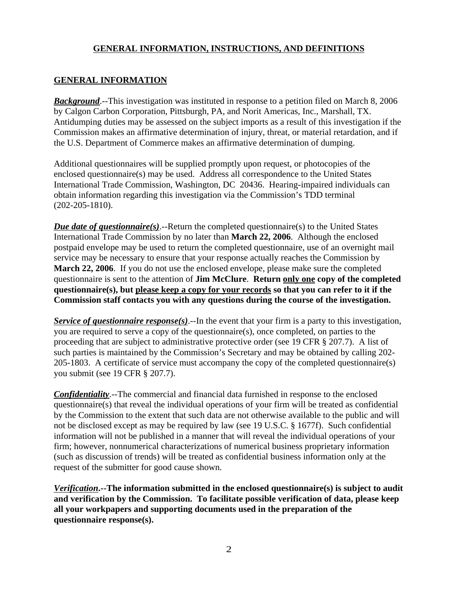## **GENERAL INFORMATION**

**Background**.--This investigation was instituted in response to a petition filed on March 8, 2006 by Calgon Carbon Corporation, Pittsburgh, PA, and Norit Americas, Inc., Marshall, TX. Antidumping duties may be assessed on the subject imports as a result of this investigation if the Commission makes an affirmative determination of injury, threat, or material retardation, and if the U.S. Department of Commerce makes an affirmative determination of dumping.

Additional questionnaires will be supplied promptly upon request, or photocopies of the enclosed questionnaire(s) may be used. Address all correspondence to the United States International Trade Commission, Washington, DC 20436. Hearing-impaired individuals can obtain information regarding this investigation via the Commission's TDD terminal (202-205-1810).

*Due date of questionnaire(s)*.--Return the completed questionnaire(s) to the United States International Trade Commission by no later than **March 22, 2006**. Although the enclosed postpaid envelope may be used to return the completed questionnaire, use of an overnight mail service may be necessary to ensure that your response actually reaches the Commission by **March 22, 2006**. If you do not use the enclosed envelope, please make sure the completed questionnaire is sent to the attention of **Jim McClure**. **Return only one copy of the completed questionnaire(s), but please keep a copy for your records so that you can refer to it if the Commission staff contacts you with any questions during the course of the investigation.**

*Service of questionnaire response(s)*.--In the event that your firm is a party to this investigation, you are required to serve a copy of the questionnaire(s), once completed, on parties to the proceeding that are subject to administrative protective order (see 19 CFR § 207.7). A list of such parties is maintained by the Commission's Secretary and may be obtained by calling 202- 205-1803. A certificate of service must accompany the copy of the completed questionnaire(s) you submit (see 19 CFR § 207.7).

*Confidentiality*.--The commercial and financial data furnished in response to the enclosed questionnaire(s) that reveal the individual operations of your firm will be treated as confidential by the Commission to the extent that such data are not otherwise available to the public and will not be disclosed except as may be required by law (see 19 U.S.C. § 1677f). Such confidential information will not be published in a manner that will reveal the individual operations of your firm; however, nonnumerical characterizations of numerical business proprietary information (such as discussion of trends) will be treated as confidential business information only at the request of the submitter for good cause shown.

*Verification***.--The information submitted in the enclosed questionnaire(s) is subject to audit and verification by the Commission. To facilitate possible verification of data, please keep all your workpapers and supporting documents used in the preparation of the questionnaire response(s).**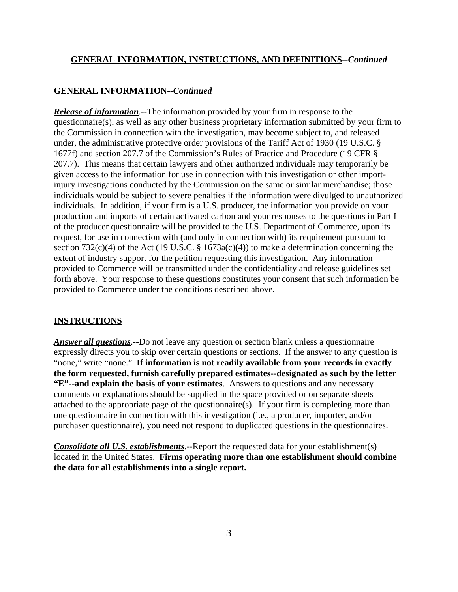#### **GENERAL INFORMATION--***Continued*

*Release of information*.--The information provided by your firm in response to the questionnaire(s), as well as any other business proprietary information submitted by your firm to the Commission in connection with the investigation, may become subject to, and released under, the administrative protective order provisions of the Tariff Act of 1930 (19 U.S.C. § 1677f) and section 207.7 of the Commission's Rules of Practice and Procedure (19 CFR § 207.7). This means that certain lawyers and other authorized individuals may temporarily be given access to the information for use in connection with this investigation or other importinjury investigations conducted by the Commission on the same or similar merchandise; those individuals would be subject to severe penalties if the information were divulged to unauthorized individuals. In addition, if your firm is a U.S. producer, the information you provide on your production and imports of certain activated carbon and your responses to the questions in Part I of the producer questionnaire will be provided to the U.S. Department of Commerce, upon its request, for use in connection with (and only in connection with) its requirement pursuant to section 732(c)(4) of the Act (19 U.S.C. § 1673a(c)(4)) to make a determination concerning the extent of industry support for the petition requesting this investigation. Any information provided to Commerce will be transmitted under the confidentiality and release guidelines set forth above. Your response to these questions constitutes your consent that such information be provided to Commerce under the conditions described above.

#### **INSTRUCTIONS**

*Answer all questions*.--Do not leave any question or section blank unless a questionnaire expressly directs you to skip over certain questions or sections. If the answer to any question is "none," write "none." **If information is not readily available from your records in exactly the form requested, furnish carefully prepared estimates--designated as such by the letter "E"--and explain the basis of your estimates**. Answers to questions and any necessary comments or explanations should be supplied in the space provided or on separate sheets attached to the appropriate page of the questionnaire(s). If your firm is completing more than one questionnaire in connection with this investigation (i.e., a producer, importer, and/or purchaser questionnaire), you need not respond to duplicated questions in the questionnaires.

*Consolidate all U.S. establishments*.--Report the requested data for your establishment(s) located in the United States. **Firms operating more than one establishment should combine the data for all establishments into a single report.**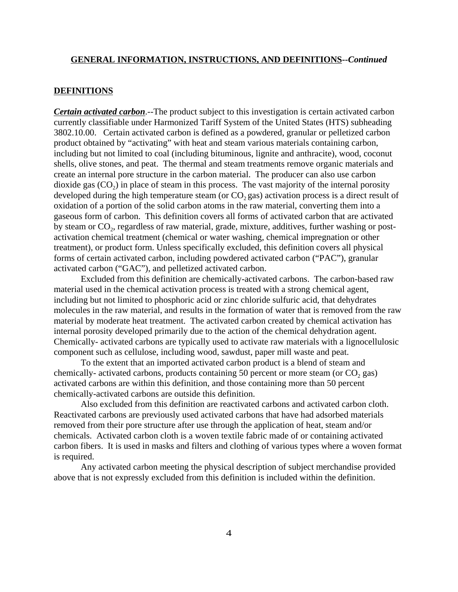#### **DEFINITIONS**

*Certain activated carbon*.--The product subject to this investigation is certain activated carbon currently classifiable under Harmonized Tariff System of the United States (HTS) subheading 3802.10.00. Certain activated carbon is defined as a powdered, granular or pelletized carbon product obtained by "activating" with heat and steam various materials containing carbon, including but not limited to coal (including bituminous, lignite and anthracite), wood, coconut shells, olive stones, and peat. The thermal and steam treatments remove organic materials and create an internal pore structure in the carbon material. The producer can also use carbon dioxide gas  $(CO<sub>2</sub>)$  in place of steam in this process. The vast majority of the internal porosity developed during the high temperature steam (or  $CO_2$  gas) activation process is a direct result of oxidation of a portion of the solid carbon atoms in the raw material, converting them into a gaseous form of carbon. This definition covers all forms of activated carbon that are activated by steam or CO<sub>2</sub>, regardless of raw material, grade, mixture, additives, further washing or postactivation chemical treatment (chemical or water washing, chemical impregnation or other treatment), or product form. Unless specifically excluded, this definition covers all physical forms of certain activated carbon, including powdered activated carbon ("PAC"), granular activated carbon ("GAC"), and pelletized activated carbon.

Excluded from this definition are chemically-activated carbons. The carbon-based raw material used in the chemical activation process is treated with a strong chemical agent, including but not limited to phosphoric acid or zinc chloride sulfuric acid, that dehydrates molecules in the raw material, and results in the formation of water that is removed from the raw material by moderate heat treatment. The activated carbon created by chemical activation has internal porosity developed primarily due to the action of the chemical dehydration agent. Chemically- activated carbons are typically used to activate raw materials with a lignocellulosic component such as cellulose, including wood, sawdust, paper mill waste and peat.

To the extent that an imported activated carbon product is a blend of steam and chemically- activated carbons, products containing 50 percent or more steam (or  $CO_2$  gas) activated carbons are within this definition, and those containing more than 50 percent chemically-activated carbons are outside this definition.

Also excluded from this definition are reactivated carbons and activated carbon cloth. Reactivated carbons are previously used activated carbons that have had adsorbed materials removed from their pore structure after use through the application of heat, steam and/or chemicals. Activated carbon cloth is a woven textile fabric made of or containing activated carbon fibers. It is used in masks and filters and clothing of various types where a woven format is required.

Any activated carbon meeting the physical description of subject merchandise provided above that is not expressly excluded from this definition is included within the definition.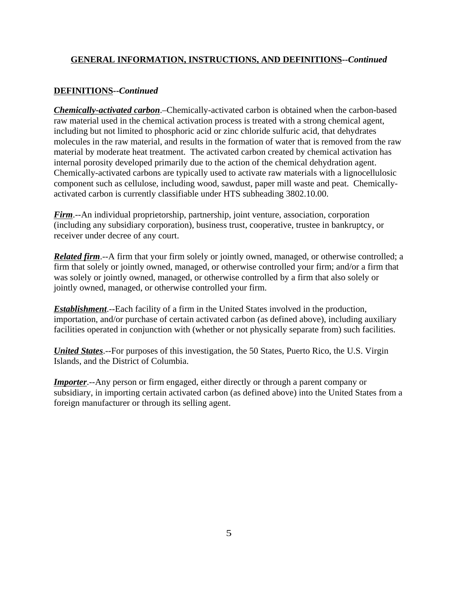### **DEFINITIONS--***Continued*

*Chemically-activated carbon*.–Chemically-activated carbon is obtained when the carbon-based raw material used in the chemical activation process is treated with a strong chemical agent, including but not limited to phosphoric acid or zinc chloride sulfuric acid, that dehydrates molecules in the raw material, and results in the formation of water that is removed from the raw material by moderate heat treatment. The activated carbon created by chemical activation has internal porosity developed primarily due to the action of the chemical dehydration agent. Chemically-activated carbons are typically used to activate raw materials with a lignocellulosic component such as cellulose, including wood, sawdust, paper mill waste and peat. Chemicallyactivated carbon is currently classifiable under HTS subheading 3802.10.00.

*Firm*.--An individual proprietorship, partnership, joint venture, association, corporation (including any subsidiary corporation), business trust, cooperative, trustee in bankruptcy, or receiver under decree of any court.

*Related firm*.--A firm that your firm solely or jointly owned, managed, or otherwise controlled; a firm that solely or jointly owned, managed, or otherwise controlled your firm; and/or a firm that was solely or jointly owned, managed, or otherwise controlled by a firm that also solely or jointly owned, managed, or otherwise controlled your firm.

*Establishment*.--Each facility of a firm in the United States involved in the production, importation, and/or purchase of certain activated carbon (as defined above), including auxiliary facilities operated in conjunction with (whether or not physically separate from) such facilities.

*United States*.--For purposes of this investigation, the 50 States, Puerto Rico, the U.S. Virgin Islands, and the District of Columbia.

*Importer*.--Any person or firm engaged, either directly or through a parent company or subsidiary, in importing certain activated carbon (as defined above) into the United States from a foreign manufacturer or through its selling agent.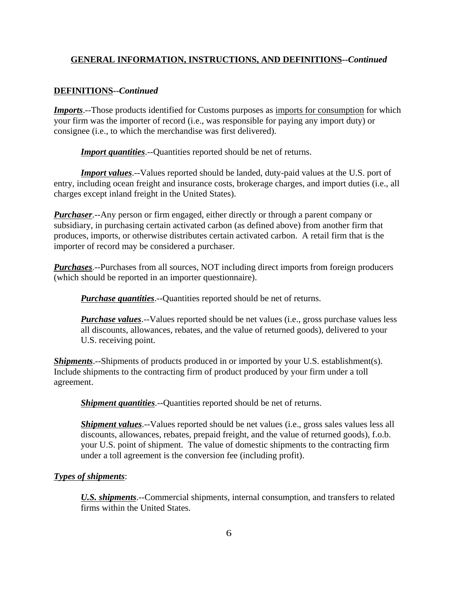#### **DEFINITIONS--***Continued*

*Imports*.--Those products identified for Customs purposes as imports for consumption for which your firm was the importer of record (i.e., was responsible for paying any import duty) or consignee (i.e., to which the merchandise was first delivered).

*Import quantities*.--Quantities reported should be net of returns.

*Import values*.--Values reported should be landed, duty-paid values at the U.S. port of entry, including ocean freight and insurance costs, brokerage charges, and import duties (i.e., all charges except inland freight in the United States).

*Purchaser*.--Any person or firm engaged, either directly or through a parent company or subsidiary, in purchasing certain activated carbon (as defined above) from another firm that produces, imports, or otherwise distributes certain activated carbon. A retail firm that is the importer of record may be considered a purchaser.

*Purchases*.--Purchases from all sources, NOT including direct imports from foreign producers (which should be reported in an importer questionnaire).

*Purchase quantities*.--Quantities reported should be net of returns.

*Purchase values*.--Values reported should be net values (i.e., gross purchase values less all discounts, allowances, rebates, and the value of returned goods), delivered to your U.S. receiving point.

*Shipments*.--Shipments of products produced in or imported by your U.S. establishment(s). Include shipments to the contracting firm of product produced by your firm under a toll agreement.

*Shipment quantities*.--Quantities reported should be net of returns.

*Shipment values*.--Values reported should be net values (*i.e.*, gross sales values less all discounts, allowances, rebates, prepaid freight, and the value of returned goods), f.o.b. your U.S. point of shipment. The value of domestic shipments to the contracting firm under a toll agreement is the conversion fee (including profit).

#### *Types of shipments*:

*U.S. shipments*.--Commercial shipments, internal consumption, and transfers to related firms within the United States.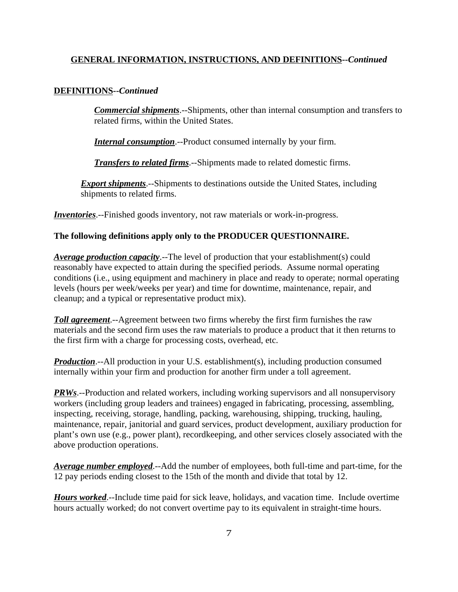#### **DEFINITIONS--***Continued*

*Commercial shipments*.--Shipments, other than internal consumption and transfers to related firms, within the United States.

*Internal consumption*.--Product consumed internally by your firm.

*Transfers to related firms*.--Shipments made to related domestic firms.

*Export shipments*.--Shipments to destinations outside the United States, including shipments to related firms.

*Inventories*.--Finished goods inventory, not raw materials or work-in-progress.

#### **The following definitions apply only to the PRODUCER QUESTIONNAIRE.**

*Average production capacity*.--The level of production that your establishment(s) could reasonably have expected to attain during the specified periods. Assume normal operating conditions (i.e., using equipment and machinery in place and ready to operate; normal operating levels (hours per week/weeks per year) and time for downtime, maintenance, repair, and cleanup; and a typical or representative product mix).

*Toll agreement*.--Agreement between two firms whereby the first firm furnishes the raw materials and the second firm uses the raw materials to produce a product that it then returns to the first firm with a charge for processing costs, overhead, etc.

*Production*.--All production in your U.S. establishment(s), including production consumed internally within your firm and production for another firm under a toll agreement.

*PRWs*.--Production and related workers, including working supervisors and all nonsupervisory workers (including group leaders and trainees) engaged in fabricating, processing, assembling, inspecting, receiving, storage, handling, packing, warehousing, shipping, trucking, hauling, maintenance, repair, janitorial and guard services, product development, auxiliary production for plant's own use (e.g., power plant), recordkeeping, and other services closely associated with the above production operations.

*Average number employed*.--Add the number of employees, both full-time and part-time, for the 12 pay periods ending closest to the 15th of the month and divide that total by 12.

*Hours worked*.--Include time paid for sick leave, holidays, and vacation time. Include overtime hours actually worked; do not convert overtime pay to its equivalent in straight-time hours.